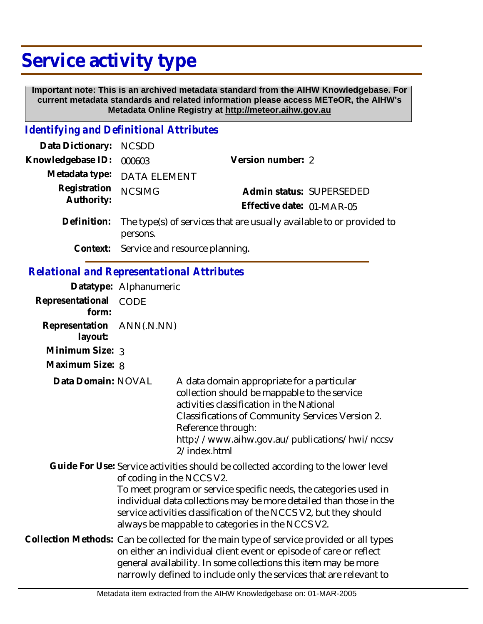## **Service activity type**

 **Important note: This is an archived metadata standard from the AIHW Knowledgebase. For current metadata standards and related information please access METeOR, the AIHW's Metadata Online Registry at http://meteor.aihw.gov.au**

## *Identifying and Definitional Attributes*

| Data Dictionary:                                  | <b>NCSDD</b>                                                                                                                                                                                                                                                                                                                                                                        |                                                                                                                                                                                                                                   |                           |                                               |
|---------------------------------------------------|-------------------------------------------------------------------------------------------------------------------------------------------------------------------------------------------------------------------------------------------------------------------------------------------------------------------------------------------------------------------------------------|-----------------------------------------------------------------------------------------------------------------------------------------------------------------------------------------------------------------------------------|---------------------------|-----------------------------------------------|
| Knowledgebase ID:                                 | Version number: 2<br>000603                                                                                                                                                                                                                                                                                                                                                         |                                                                                                                                                                                                                                   |                           |                                               |
| Metadata type:                                    | <b>DATA ELEMENT</b>                                                                                                                                                                                                                                                                                                                                                                 |                                                                                                                                                                                                                                   |                           |                                               |
| Registration<br>Authority:                        | <b>NCSIMG</b>                                                                                                                                                                                                                                                                                                                                                                       |                                                                                                                                                                                                                                   | Effective date: 01-MAR-05 | Admin status: SUPERSEDED                      |
| Definition:                                       | The type(s) of services that are usually available to or provided to<br>persons.                                                                                                                                                                                                                                                                                                    |                                                                                                                                                                                                                                   |                           |                                               |
| Context:                                          | Service and resource planning.                                                                                                                                                                                                                                                                                                                                                      |                                                                                                                                                                                                                                   |                           |                                               |
| <b>Relational and Representational Attributes</b> |                                                                                                                                                                                                                                                                                                                                                                                     |                                                                                                                                                                                                                                   |                           |                                               |
|                                                   | Datatype: Alphanumeric                                                                                                                                                                                                                                                                                                                                                              |                                                                                                                                                                                                                                   |                           |                                               |
| Representational<br>form:                         | <b>CODE</b>                                                                                                                                                                                                                                                                                                                                                                         |                                                                                                                                                                                                                                   |                           |                                               |
| Representation<br>layout:                         | ANN(.N.NN)                                                                                                                                                                                                                                                                                                                                                                          |                                                                                                                                                                                                                                   |                           |                                               |
| Minimum Size: 3                                   |                                                                                                                                                                                                                                                                                                                                                                                     |                                                                                                                                                                                                                                   |                           |                                               |
| Maximum Size: 8                                   |                                                                                                                                                                                                                                                                                                                                                                                     |                                                                                                                                                                                                                                   |                           |                                               |
| Data Domain: NOVAL                                |                                                                                                                                                                                                                                                                                                                                                                                     | A data domain appropriate for a particular<br>collection should be mappable to the service<br>activities classification in the National<br>Classifications of Community Services Version 2.<br>Reference through:<br>2/index.html |                           | http://www.aihw.gov.au/publications/hwi/nccsv |
|                                                   | Guide For Use: Service activities should be collected according to the lower level<br>of coding in the NCCS V2.<br>To meet program or service specific needs, the categories used in<br>individual data collections may be more detailed than those in the<br>service activities classification of the NCCS V2, but they should<br>always be mappable to categories in the NCCS V2. |                                                                                                                                                                                                                                   |                           |                                               |
|                                                   | Collection Methods: Can be collected for the main type of service provided or all types<br>on either an individual client event or episode of care or reflect<br>general availability. In some collections this item may be more<br>narrowly defined to include only the services that are relevant to                                                                              |                                                                                                                                                                                                                                   |                           |                                               |